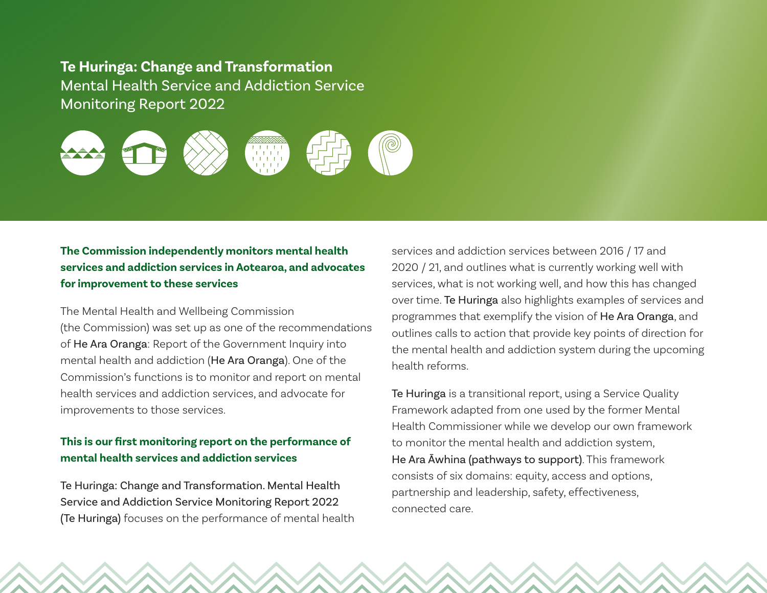**Te Huringa: Change and Transformation** Mental Health Service and Addiction Service Monitoring Report 2022



## **The Commission independently monitors mental health services and addiction services in Aotearoa, and advocates for improvement to these services**

The Mental Health and Wellbeing Commission (the Commission) was set up as one of the recommendations of He Ara Oranga: Report of the Government Inquiry into mental health and addiction (He Ara Oranga). One of the Commission's functions is to monitor and report on mental health services and addiction services, and advocate for improvements to those services.

## **This is our first monitoring report on the performance of mental health services and addiction services**

Te Huringa: Change and Transformation. Mental Health Service and Addiction Service Monitoring Report 2022 (Te Huringa) focuses on the performance of mental health services and addiction services between 2016 / 17 and 2020 / 21, and outlines what is currently working well with services, what is not working well, and how this has changed over time. Te Huringa also highlights examples of services and programmes that exemplify the vision of He Ara Oranga, and outlines calls to action that provide key points of direction for the mental health and addiction system during the upcoming health reforms.

Te Huringa is a transitional report, using a Service Quality Framework adapted from one used by the former Mental Health Commissioner while we develop our own framework to monitor the mental health and addiction system, He Ara Āwhina (pathways to support). This framework consists of six domains: equity, access and options, partnership and leadership, safety, effectiveness, connected care.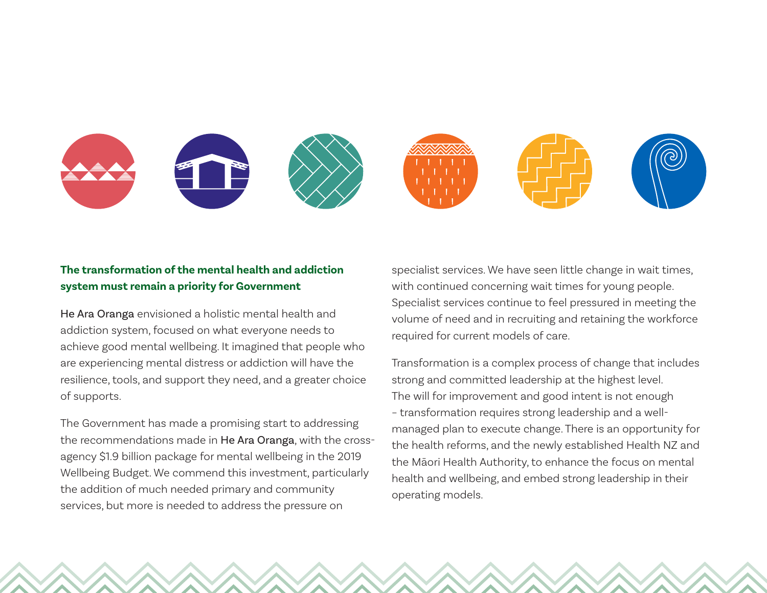

## **The transformation of the mental health and addiction system must remain a priority for Government**

He Ara Oranga envisioned a holistic mental health and addiction system, focused on what everyone needs to achieve good mental wellbeing. It imagined that people who are experiencing mental distress or addiction will have the resilience, tools, and support they need, and a greater choice of supports.

The Government has made a promising start to addressing the recommendations made in He Ara Oranga, with the crossagency \$1.9 billion package for mental wellbeing in the 2019 Wellbeing Budget. We commend this investment, particularly the addition of much needed primary and community services, but more is needed to address the pressure on

specialist services. We have seen little change in wait times, with continued concerning wait times for young people. Specialist services continue to feel pressured in meeting the volume of need and in recruiting and retaining the workforce required for current models of care.

Transformation is a complex process of change that includes strong and committed leadership at the highest level. The will for improvement and good intent is not enough – transformation requires strong leadership and a wellmanaged plan to execute change. There is an opportunity for the health reforms, and the newly established Health NZ and the Māori Health Authority, to enhance the focus on mental health and wellbeing, and embed strong leadership in their operating models.